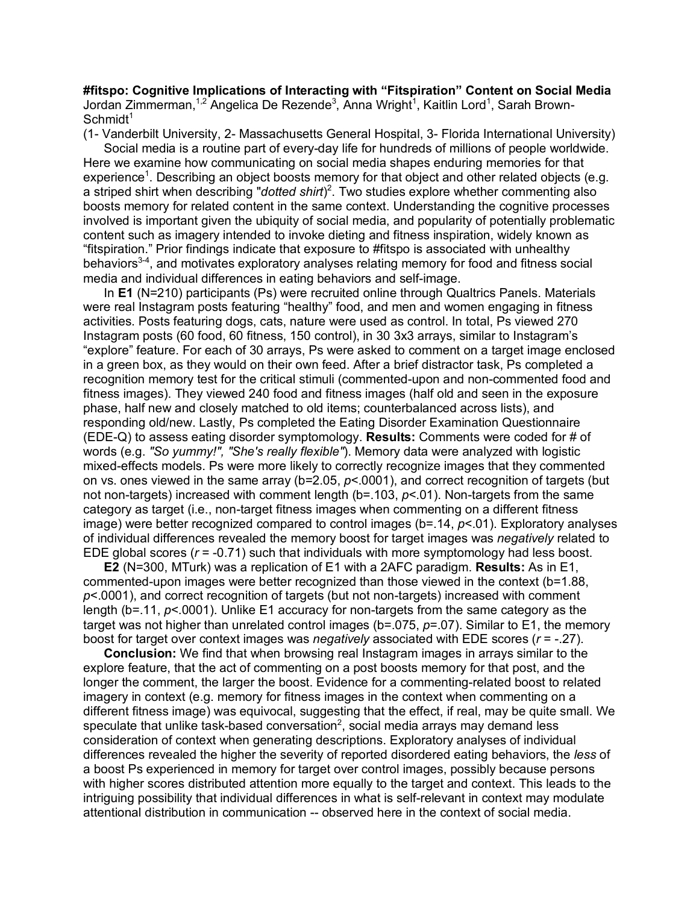**#fitspo: Cognitive Implications of Interacting with "Fitspiration" Content on Social Media** Jordan Zimmerman,<sup>1,2</sup> Angelica De Rezende<sup>3</sup>, Anna Wright<sup>1</sup>, Kaitlin Lord<sup>1</sup>, Sarah Brown- $Schmidt<sup>1</sup>$ 

(1- Vanderbilt University, 2- Massachusetts General Hospital, 3- Florida International University) Social media is a routine part of every-day life for hundreds of millions of people worldwide. Here we examine how communicating on social media shapes enduring memories for that experience<sup>1</sup>. Describing an object boosts memory for that object and other related objects (e.g. a striped shirt when describing "*dotted shirt*) 2 . Two studies explore whether commenting also boosts memory for related content in the same context. Understanding the cognitive processes involved is important given the ubiquity of social media, and popularity of potentially problematic content such as imagery intended to invoke dieting and fitness inspiration, widely known as "fitspiration." Prior findings indicate that exposure to #fitspo is associated with unhealthy behaviors<sup>3-4</sup>, and motivates exploratory analyses relating memory for food and fitness social media and individual differences in eating behaviors and self-image.

In **E1** (N=210) participants (Ps) were recruited online through Qualtrics Panels. Materials were real Instagram posts featuring "healthy" food, and men and women engaging in fitness activities. Posts featuring dogs, cats, nature were used as control. In total, Ps viewed 270 Instagram posts (60 food, 60 fitness, 150 control), in 30 3x3 arrays, similar to Instagram's "explore" feature. For each of 30 arrays, Ps were asked to comment on a target image enclosed in a green box, as they would on their own feed. After a brief distractor task, Ps completed a recognition memory test for the critical stimuli (commented-upon and non-commented food and fitness images). They viewed 240 food and fitness images (half old and seen in the exposure phase, half new and closely matched to old items; counterbalanced across lists), and responding old/new. Lastly, Ps completed the Eating Disorder Examination Questionnaire (EDE-Q) to assess eating disorder symptomology. **Results:** Comments were coded for # of words (e.g. *"So yummy!", "She's really flexible"*). Memory data were analyzed with logistic mixed-effects models. Ps were more likely to correctly recognize images that they commented on vs. ones viewed in the same array (b=2.05, *p*<.0001), and correct recognition of targets (but not non-targets) increased with comment length (b=.103, *p*<.01). Non-targets from the same category as target (i.e., non-target fitness images when commenting on a different fitness image) were better recognized compared to control images (b=.14, *p*<.01). Exploratory analyses of individual differences revealed the memory boost for target images was *negatively* related to EDE global scores (*r* = -0.71) such that individuals with more symptomology had less boost.

**E2** (N=300, MTurk) was a replication of E1 with a 2AFC paradigm. **Results:** As in E1, commented-upon images were better recognized than those viewed in the context (b=1.88, *p*<.0001), and correct recognition of targets (but not non-targets) increased with comment length (b=.11, *p*<.0001). Unlike E1 accuracy for non-targets from the same category as the target was not higher than unrelated control images (b=.075, *p*=.07). Similar to E1, the memory boost for target over context images was *negatively* associated with EDE scores (*r* = -.27).

**Conclusion:** We find that when browsing real Instagram images in arrays similar to the explore feature, that the act of commenting on a post boosts memory for that post, and the longer the comment, the larger the boost. Evidence for a commenting-related boost to related imagery in context (e.g. memory for fitness images in the context when commenting on a different fitness image) was equivocal, suggesting that the effect, if real, may be quite small. We speculate that unlike task-based conversation<sup>2</sup>, social media arrays may demand less consideration of context when generating descriptions. Exploratory analyses of individual differences revealed the higher the severity of reported disordered eating behaviors, the *less* of a boost Ps experienced in memory for target over control images, possibly because persons with higher scores distributed attention more equally to the target and context. This leads to the intriguing possibility that individual differences in what is self-relevant in context may modulate attentional distribution in communication -- observed here in the context of social media.